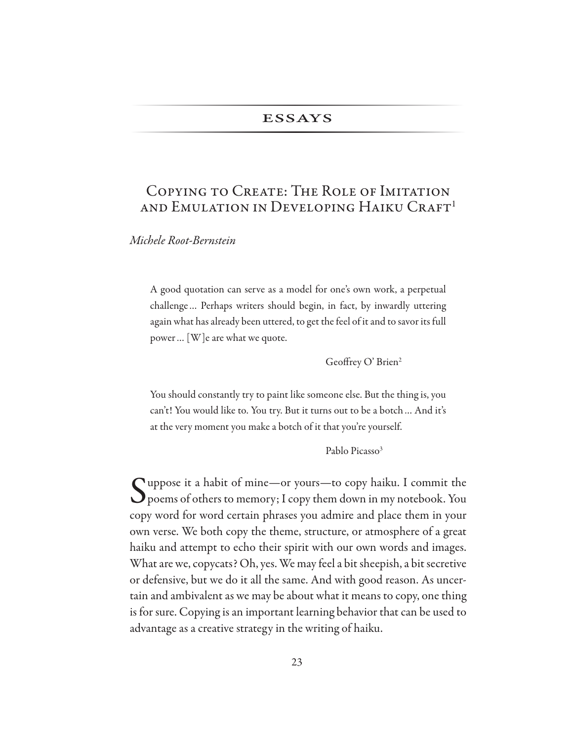# **ESSAYS**

# COPYING TO CREATE: THE ROLE OF IMITATION AND EMULATION IN DEVELOPING HAIKU CRAFT<sup>1</sup>

Michele Root-Bernstein

A good quotation can serve as a model for one's own work, a perpetual challenge... Perhaps writers should begin, in fact, by inwardly uttering again what has already been uttered, to get the feel of it and to savor its full power ... [W] e are what we quote.

Geoffrey O' Brien<sup>2</sup>

You should constantly try to paint like someone else. But the thing is, you can't! You would like to. You try. But it turns out to be a botch ... And it's at the very moment you make a botch of it that you're yourself.

Pablo Picasso<sup>3</sup>

◯ uppose it a habit of mine—or yours—to copy haiku. I commit the  $\bigcup$  poems of others to memory; I copy them down in my notebook. You copy word for word certain phrases you admire and place them in your own verse. We both copy the theme, structure, or atmosphere of a great haiku and attempt to echo their spirit with our own words and images. What are we, copycats? Oh, yes. We may feel a bit sheepish, a bit secretive or defensive, but we do it all the same. And with good reason. As uncertain and ambivalent as we may be about what it means to copy, one thing is for sure. Copying is an important learning behavior that can be used to advantage as a creative strategy in the writing of haiku.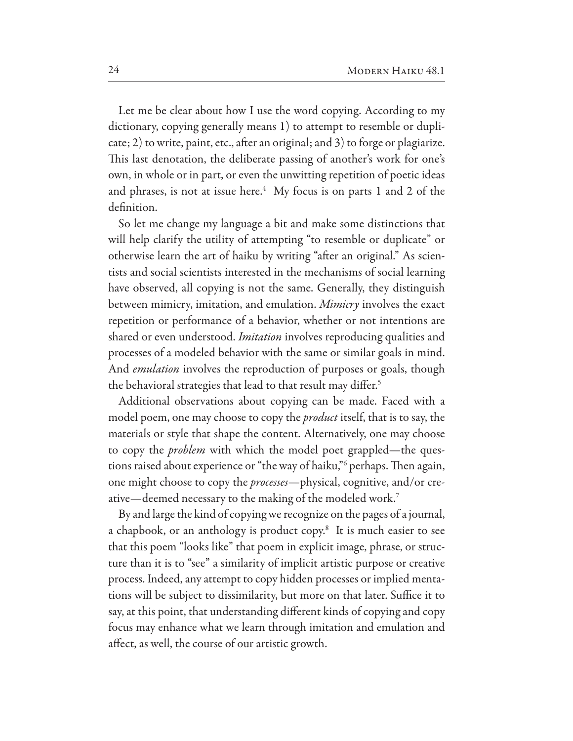Let me be clear about how I use the word copying. According to my dictionary, copying generally means 1) to attempt to resemble or duplicate; 2) to write, paint, etc., after an original; and 3) to forge or plagiarize. This last denotation, the deliberate passing of another's work for one's own, in whole or in part, or even the unwitting repetition of poetic ideas and phrases, is not at issue here.<sup>4</sup> My focus is on parts 1 and 2 of the definition.

So let me change my language a bit and make some distinctions that will help clarify the utility of attempting "to resemble or duplicate" or otherwise learn the art of haiku by writing "after an original." As scientists and social scientists interested in the mechanisms of social learning have observed, all copying is not the same. Generally, they distinguish between mimicry, imitation, and emulation. Mimicry involves the exact repetition or performance of a behavior, whether or not intentions are shared or even understood. *Imitation* involves reproducing qualities and processes of a modeled behavior with the same or similar goals in mind. And *emulation* involves the reproduction of purposes or goals, though the behavioral strategies that lead to that result may differ.<sup>5</sup>

Additional observations about copying can be made. Faced with a model poem, one may choose to copy the *product* itself, that is to say, the materials or style that shape the content. Alternatively, one may choose to copy the *problem* with which the model poet grappled—the questions raised about experience or "the way of haiku,"<sup>6</sup> perhaps. Then again, one might choose to copy the *processes*—physical, cognitive, and/or creative—deemed necessary to the making of the modeled work.<sup>7</sup>

By and large the kind of copying we recognize on the pages of a journal, a chapbook, or an anthology is product copy.<sup>8</sup> It is much easier to see that this poem "looks like" that poem in explicit image, phrase, or structure than it is to "see" a similarity of implicit artistic purpose or creative process. Indeed, any attempt to copy hidden processes or implied mentations will be subject to dissimilarity, but more on that later. Suffice it to say, at this point, that understanding different kinds of copying and copy focus may enhance what we learn through imitation and emulation and affect, as well, the course of our artistic growth.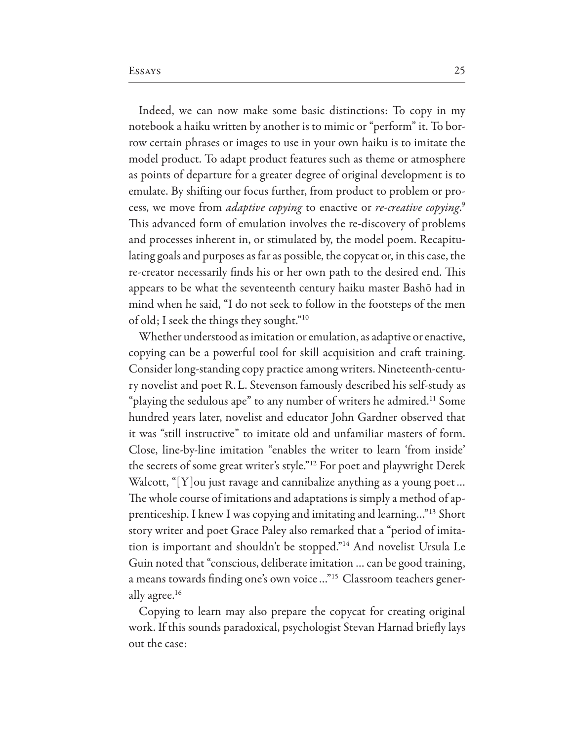Indeed, we can now make some basic distinctions: To copy in my notebook a haiku written by another is to mimic or "perform" it. To borrow certain phrases or images to use in your own haiku is to imitate the model product. To adapt product features such as theme or atmosphere as points of departure for a greater degree of original development is to emulate. By shifting our focus further, from product to problem or process, we move from *adaptive copying* to enactive or *re-creative copying*.<sup>9</sup> This advanced form of emulation involves the re-discovery of problems and processes inherent in, or stimulated by, the model poem. Recapitulating goals and purposes as far as possible, the copycat or, in this case, the re-creator necessarily finds his or her own path to the desired end. This appears to be what the seventeenth century haiku master Bashō had in mind when he said, "I do not seek to follow in the footsteps of the men of old; I seek the things they sought."<sup>10</sup>

Whether understood as imitation or emulation, as adaptive or enactive, copying can be a powerful tool for skill acquisition and craft training. Consider long-standing copy practice among writers. Nineteenth-century novelist and poet R.L. Stevenson famously described his self-study as "playing the sedulous ape" to any number of writers he admired.<sup>11</sup> Some hundred years later, novelist and educator John Gardner observed that it was "still instructive" to imitate old and unfamiliar masters of form. Close, line-by-line imitation "enables the writer to learn 'from inside' the secrets of some great writer's style."<sup>12</sup> For poet and playwright Derek Walcott, " $[Y]$  ou just ravage and cannibalize anything as a young poet... The whole course of imitations and adaptations is simply a method of apprenticeship. I knew I was copying and imitating and learning..."<sup>13</sup> Short story writer and poet Grace Paley also remarked that a "period of imitation is important and shouldn't be stopped."<sup>14</sup> And novelist Ursula Le Guin noted that "conscious, deliberate imitation ... can be good training, a means towards finding one's own voice ..."<sup>15</sup> Classroom teachers generally agree.<sup>16</sup>

Copying to learn may also prepare the copycat for creating original work. If this sounds paradoxical, psychologist Stevan Harnad briefly lays out the case: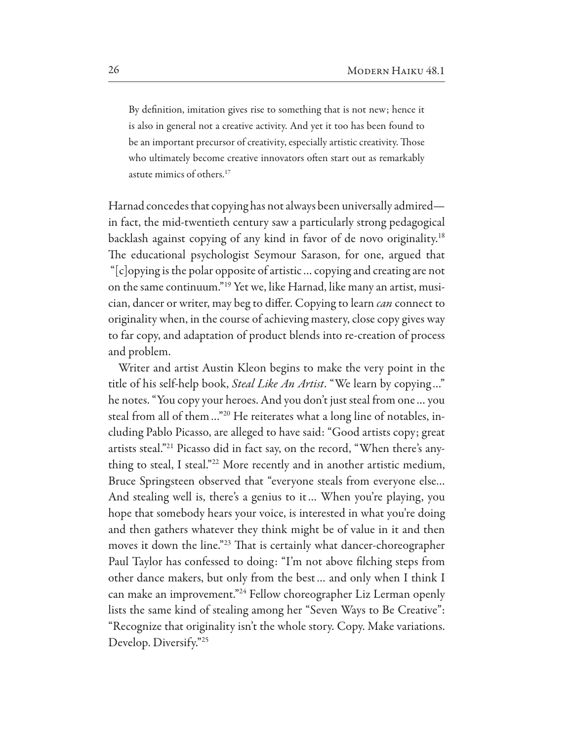By definition, imitation gives rise to something that is not new; hence it is also in general not a creative activity. And yet it too has been found to be an important precursor of creativity, especially artistic creativity. Those who ultimately become creative innovators often start out as remarkably astute mimics of others.<sup>17</sup>

Harnad concedes that copying has not always been universally admired in fact, the mid-twentieth century saw a particularly strong pedagogical backlash against copying of any kind in favor of de novo originality.<sup>18</sup> The educational psychologist Seymour Sarason, for one, argued that "[c]opying is the polar opposite of artistic ... copying and creating are not on the same continuum."<sup>19</sup> Yet we, like Harnad, like many an artist, musician, dancer or writer, may beg to differ. Copying to learn *can* connect to originality when, in the course of achieving mastery, close copy gives way to far copy, and adaptation of product blends into re-creation of process and problem.

Writer and artist Austin Kleon begins to make the very point in the title of his self-help book, Steal Like An Artist. "We learn by copying..." he notes. "You copy your heroes. And you don't just steal from one... you steal from all of them..."<sup>20</sup> He reiterates what a long line of notables, including Pablo Picasso, are alleged to have said: "Good artists copy; great artists steal."<sup>21</sup> Picasso did in fact say, on the record, "When there's anything to steal, I steal."<sup>22</sup> More recently and in another artistic medium, Bruce Springsteen observed that "everyone steals from everyone else... And stealing well is, there's a genius to it... When you're playing, you hope that somebody hears your voice, is interested in what you're doing and then gathers whatever they think might be of value in it and then moves it down the line."<sup>23</sup> That is certainly what dancer-choreographer Paul Taylor has confessed to doing: "I'm not above filching steps from other dance makers, but only from the best... and only when I think I can make an improvement."<sup>24</sup> Fellow choreographer Liz Lerman openly lists the same kind of stealing among her "Seven Ways to Be Creative": "Recognize that originality isn't the whole story. Copy. Make variations. Develop. Diversify."25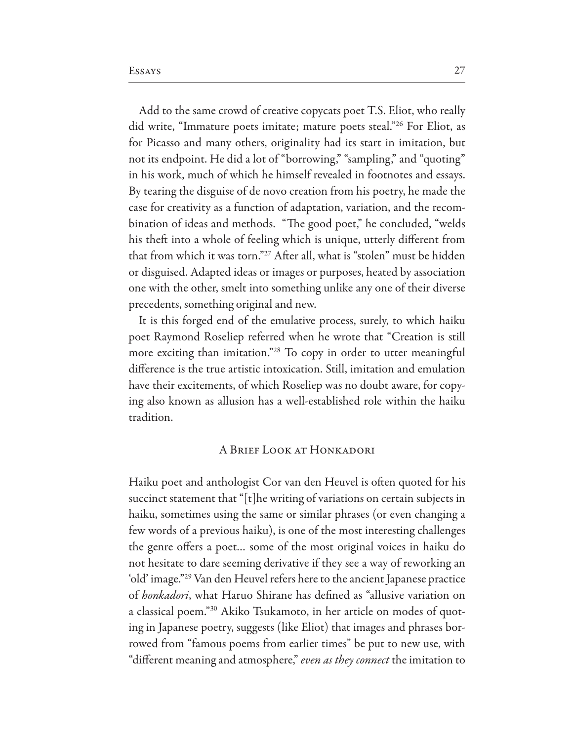Add to the same crowd of creative copycats poet T.S. Eliot, who really did write, "Immature poets imitate; mature poets steal."<sup>26</sup> For Eliot, as for Picasso and many others, originality had its start in imitation, but not its endpoint. He did a lot of "borrowing," "sampling," and "quoting" in his work, much of which he himself revealed in footnotes and essays. By tearing the disguise of de novo creation from his poetry, he made the case for creativity as a function of adaptation, variation, and the recombination of ideas and methods. "The good poet," he concluded, "welds his theft into a whole of feeling which is unique, utterly different from that from which it was torn."<sup>27</sup> After all, what is "stolen" must be hidden or disguised. Adapted ideas or images or purposes, heated by association one with the other, smelt into something unlike any one of their diverse precedents, something original and new.

It is this forged end of the emulative process, surely, to which haiku poet Raymond Roseliep referred when he wrote that "Creation is still more exciting than imitation."<sup>28</sup> To copy in order to utter meaningful difference is the true artistic intoxication. Still, imitation and emulation have their excitements, of which Roseliep was no doubt aware, for copying also known as allusion has a well-established role within the haiku tradition.

### A BRIEF LOOK AT HONKADORI

Haiku poet and anthologist Cor van den Heuvel is often quoted for his succinct statement that " $[t]$  he writing of variations on certain subjects in haiku, sometimes using the same or similar phrases (or even changing a few words of a previous haiku), is one of the most interesting challenges the genre offers a poet... some of the most original voices in haiku do not hesitate to dare seeming derivative if they see a way of reworking an 'old' image."<sup>29</sup> Van den Heuvel refers here to the ancient Japanese practice of *honkadori*, what Haruo Shirane has defined as "allusive variation on a classical poem."<sup>30</sup> Akiko Tsukamoto, in her article on modes of quoting in Japanese poetry, suggests (like Eliot) that images and phrases borrowed from "famous poems from earlier times" be put to new use, with "different meaning and atmosphere," even as they connect the imitation to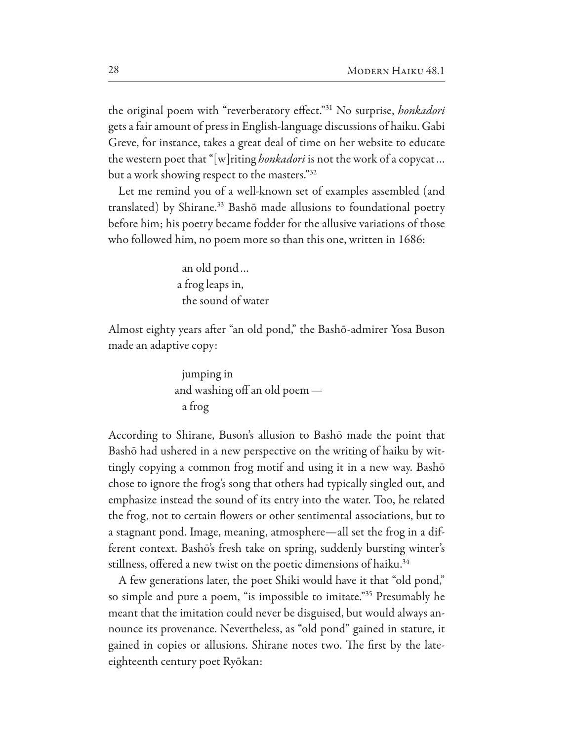the original poem with "reverberatory effect."<sup>31</sup> No surprise, honkadori gets a fair amount of press in English-language discussions of haiku. Gabi Greve, for instance, takes a great deal of time on her website to educate the western poet that "[w]riting *honkadori* is not the work of a copycat... but a work showing respect to the masters."32

Let me remind you of a well-known set of examples assembled (and translated) by Shirane.<sup>33</sup> Bashō made allusions to foundational poetry before him; his poetry became fodder for the allusive variations of those who followed him, no poem more so than this one, written in 1686:

> an old pond... a frog leaps in, the sound of water

Almost eighty years after "an old pond," the Bashō-admirer Yosa Buson made an adaptive copy:

According to Shirane, Buson's allusion to Bashō made the point that Bashō had ushered in a new perspective on the writing of haiku by wittingly copying a common frog motif and using it in a new way. Bashō chose to ignore the frog's song that others had typically singled out, and emphasize instead the sound of its entry into the water. Too, he related the frog, not to certain flowers or other sentimental associations, but to a stagnant pond. Image, meaning, atmosphere—all set the frog in a different context. Bashō's fresh take on spring, suddenly bursting winter's stillness, offered a new twist on the poetic dimensions of haiku.<sup>34</sup>

A few generations later, the poet Shiki would have it that "old pond," so simple and pure a poem, "is impossible to imitate."<sup>35</sup> Presumably he meant that the imitation could never be disguised, but would always announce its provenance. Nevertheless, as "old pond" gained in stature, it gained in copies or allusions. Shirane notes two. The first by the lateeighteenth century poet Ryōkan: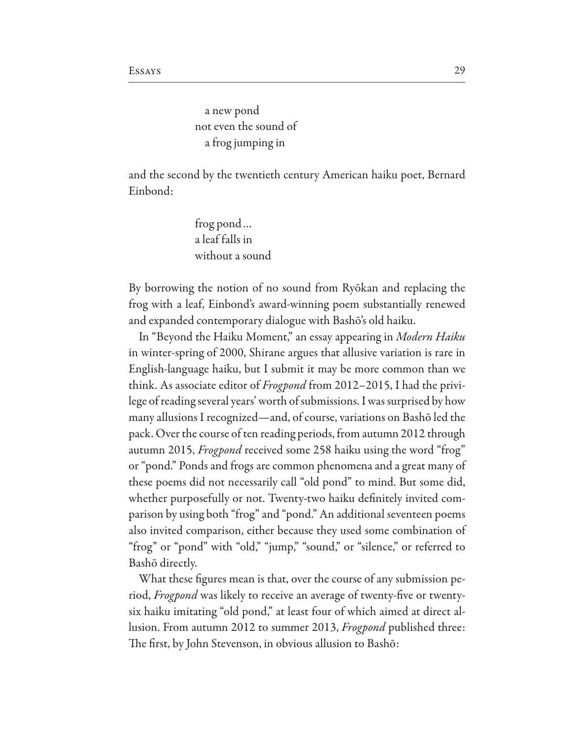a new pond not even the sound of a frog jumping in

and the second by the twentieth century American haiku poet, Bernard Einbond:

> frog pond... a leaf falls in without a sound

By borrowing the notion of no sound from Ryōkan and replacing the frog with a leaf, Einbond's award-winning poem substantially renewed and expanded contemporary dialogue with Bashō's old haiku.

In "Beyond the Haiku Moment," an essay appearing in Modern Haiku in winter-spring of 2000, Shirane argues that allusive variation is rare in English-language haiku, but I submit it may be more common than we think. As associate editor of *Frogpond* from 2012–2015, I had the privilege of reading several years' worth of submissions. I was surprised by how many allusions I recognized—and, of course, variations on Bashō led the pack. Over the course of ten reading periods, from autumn 2012 through autumn 2015, Frogpond received some 258 haiku using the word "frog" or "pond." Ponds and frogs are common phenomena and a great many of these poems did not necessarily call "old pond" to mind. But some did, whether purposefully or not. Twenty-two haiku definitely invited comparison by using both "frog" and "pond." An additional seventeen poems also invited comparison, either because they used some combination of "frog" or "pond" with "old," "jump," "sound," or "silence," or referred to Bashō directly.

What these figures mean is that, over the course of any submission period, *Frogpond* was likely to receive an average of twenty-five or twentysix haiku imitating "old pond," at least four of which aimed at direct allusion. From autumn 2012 to summer 2013, *Frogpond* published three: The first, by John Stevenson, in obvious allusion to Bashō: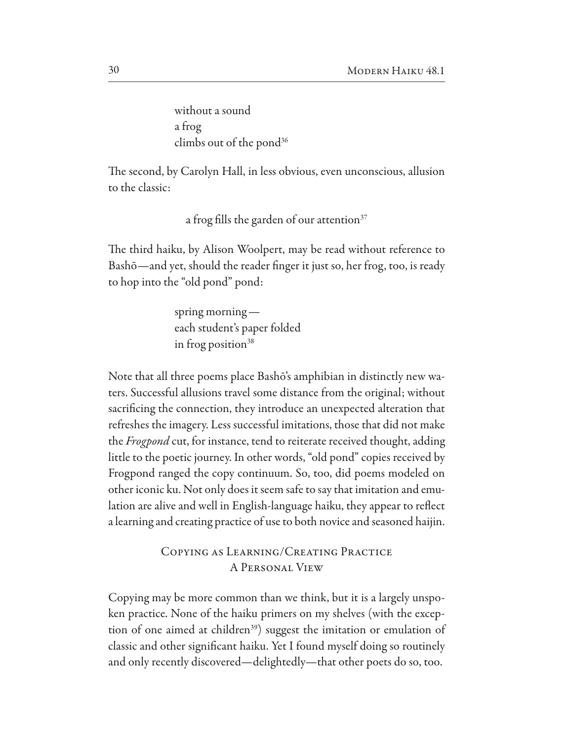without a sound a frog climbs out of the pond $36$ 

The second, by Carolyn Hall, in less obvious, even unconscious, allusion to the classic:

a frog fills the garden of our attention<sup>37</sup>

The third haiku, by Alison Woolpert, may be read without reference to Bashō-and yet, should the reader finger it just so, her frog, too, is ready to hop into the "old pond" pond:

> spring morning  $$ each student's paper folded in frog position $38$

Note that all three poems place Bashō's amphibian in distinctly new waters. Successful allusions travel some distance from the original; without sacrificing the connection, they introduce an unexpected alteration that refreshes the imagery. Less successful imitations, those that did not make the *Frogpond* cut, for instance, tend to reiterate received thought, adding little to the poetic journey. In other words, "old pond" copies received by Frogpond ranged the copy continuum. So, too, did poems modeled on other iconic ku. Not only does it seem safe to say that imitation and emulation are alive and well in English-language haiku, they appear to reflect a learning and creating practice of use to both novice and seasoned haijin.

> COPYING AS LEARNING/CREATING PRACTICE **A PERSONAL VIEW**

Copying may be more common than we think, but it is a largely unspoken practice. None of the haiku primers on my shelves (with the exception of one aimed at children<sup>39</sup>) suggest the imitation or emulation of classic and other significant haiku. Yet I found myself doing so routinely and only recently discovered—delightedly—that other poets do so, too.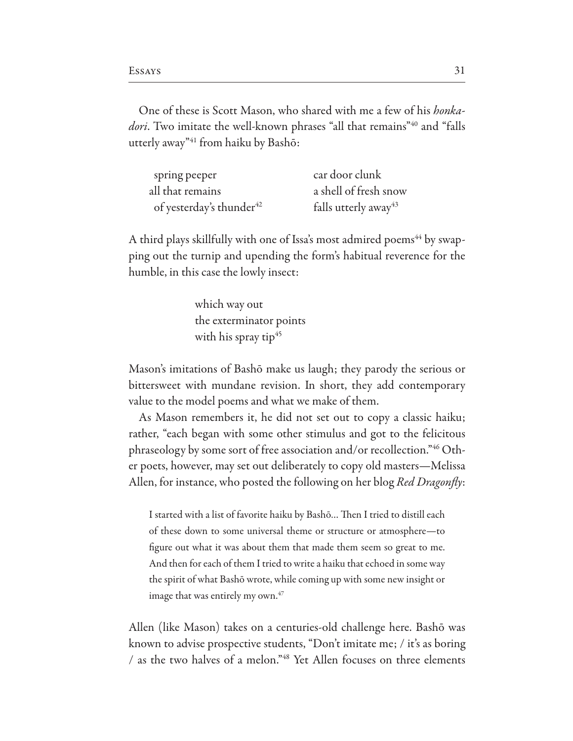One of these is Scott Mason, who shared with me a few of his *honka*dori. Two imitate the well-known phrases "all that remains"<sup>40</sup> and "falls utterly away"<sup>41</sup> from haiku by Bashō:

| spring peeper                        | car door clunk                   |
|--------------------------------------|----------------------------------|
| all that remains                     | a shell of fresh snow            |
| of yesterday's thunder <sup>42</sup> | falls utterly away <sup>43</sup> |

A third plays skillfully with one of Issa's most admired poems<sup>44</sup> by swapping out the turnip and upending the form's habitual reverence for the humble, in this case the lowly insect:

> which way out the exterminator points with his spray tip<sup>45</sup>

Mason's imitations of Bashō make us laugh; they parody the serious or bittersweet with mundane revision. In short, they add contemporary value to the model poems and what we make of them.

As Mason remembers it, he did not set out to copy a classic haiku; rather, "each began with some other stimulus and got to the felicitous phraseology by some sort of free association and/or recollection."<sup>46</sup> Other poets, however, may set out deliberately to copy old masters—Melissa Allen, for instance, who posted the following on her blog *Red Dragonfly*:

I started with a list of favorite haiku by Bashō... Then I tried to distill each of these down to some universal theme or structure or atmosphere-to figure out what it was about them that made them seem so great to me. And then for each of them I tried to write a haiku that echoed in some way the spirit of what Bashō wrote, while coming up with some new insight or image that was entirely my own.<sup>47</sup>

Allen (like Mason) takes on a centuries-old challenge here. Bashō was known to advise prospective students, "Don't imitate me; / it's as boring / as the two halves of a melon."<sup>48</sup> Yet Allen focuses on three elements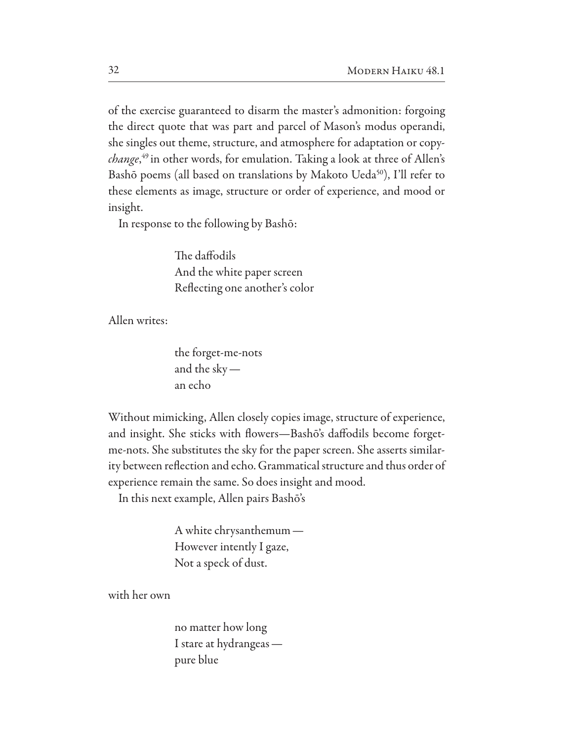of the exercise guaranteed to disarm the master's admonition: forgoing the direct quote that was part and parcel of Mason's modus operandi, she singles out theme, structure, and atmosphere for adaptation or copy*change*,<sup>49</sup> in other words, for emulation. Taking a look at three of Allen's Bashō poems (all based on translations by Makoto Ueda<sup>50</sup>), I'll refer to these elements as image, structure or order of experience, and mood or insight.

In response to the following by Bashō:

The daffodils And the white paper screen Reflecting one another's color

Allen writes:

the forget-me-nots and the sky  $$ an echo

Without mimicking, Allen closely copies image, structure of experience, and insight. She sticks with flowers-Bashō's daffodils become forgetme-nots. She substitutes the sky for the paper screen. She asserts similarity between reflection and echo. Grammatical structure and thus order of experience remain the same. So does insight and mood.

In this next example, Allen pairs Bashō's

A white chrysanthemum -However intently I gaze, Not a speck of dust.

with her own

no matter how long I stare at hydrangeas pure blue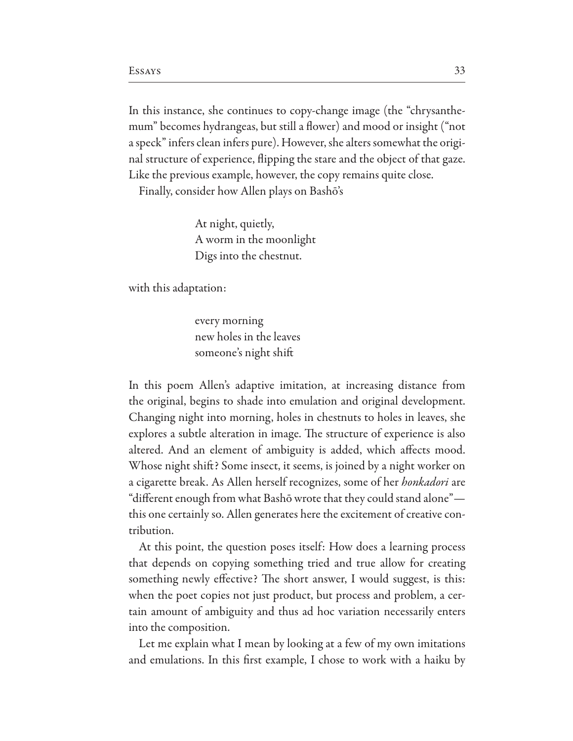In this instance, she continues to copy-change image (the "chrysanthemum" becomes hydrangeas, but still a flower) and mood or insight ("not a speck" infers clean infers pure). However, she alters somewhat the original structure of experience, flipping the stare and the object of that gaze. Like the previous example, however, the copy remains quite close.

Finally, consider how Allen plays on Bashō's

At night, quietly, A worm in the moonlight Digs into the chestnut.

with this adaptation:

every morning new holes in the leaves someone's night shift

In this poem Allen's adaptive imitation, at increasing distance from the original, begins to shade into emulation and original development. Changing night into morning, holes in chestnuts to holes in leaves, she explores a subtle alteration in image. The structure of experience is also altered. And an element of ambiguity is added, which affects mood. Whose night shift? Some insect, it seems, is joined by a night worker on a cigarette break. As Allen herself recognizes, some of her *honkadori* are "different enough from what Bashō wrote that they could stand alone" this one certainly so. Allen generates here the excitement of creative contribution.

At this point, the question poses itself: How does a learning process that depends on copying something tried and true allow for creating something newly effective? The short answer, I would suggest, is this: when the poet copies not just product, but process and problem, a certain amount of ambiguity and thus ad hoc variation necessarily enters into the composition.

Let me explain what I mean by looking at a few of my own imitations and emulations. In this first example, I chose to work with a haiku by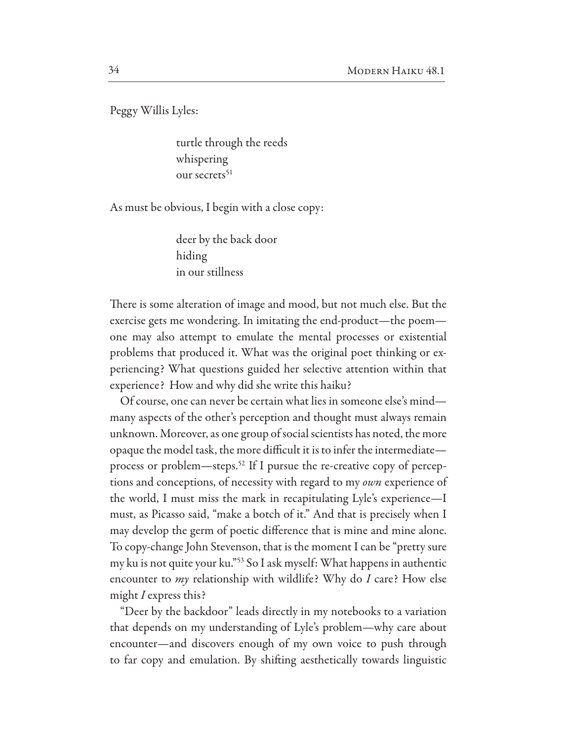Peggy Willis Lyles:

turtle through the reeds whispering our secrets<sup>51</sup>

As must be obvious, I begin with a close copy:

deer by the back door hiding in our stillness

There is some alteration of image and mood, but not much else. But the exercise gets me wondering. In imitating the end-product—the poem one may also attempt to emulate the mental processes or existential problems that produced it. What was the original poet thinking or experiencing? What questions guided her selective attention within that experience? How and why did she write this haiku?

Of course, one can never be certain what lies in someone else's mindmany aspects of the other's perception and thought must always remain unknown. Moreover, as one group of social scientists has noted, the more opaque the model task, the more difficult it is to infer the intermediateprocess or problem-steps.<sup>52</sup> If I pursue the re-creative copy of perceptions and conceptions, of necessity with regard to my own experience of the world, I must miss the mark in recapitulating Lyle's experience—I must, as Picasso said, "make a botch of it." And that is precisely when I may develop the germ of poetic difference that is mine and mine alone. To copy-change John Stevenson, that is the moment I can be "pretty sure" my ku is not quite your ku."<sup>53</sup> So I ask myself: What happens in authentic encounter to *my* relationship with wildlife? Why do I care? How else might I express this?

"Deer by the backdoor" leads directly in my notebooks to a variation that depends on my understanding of Lyle's problem—why care about encounter—and discovers enough of my own voice to push through to far copy and emulation. By shifting aesthetically towards linguistic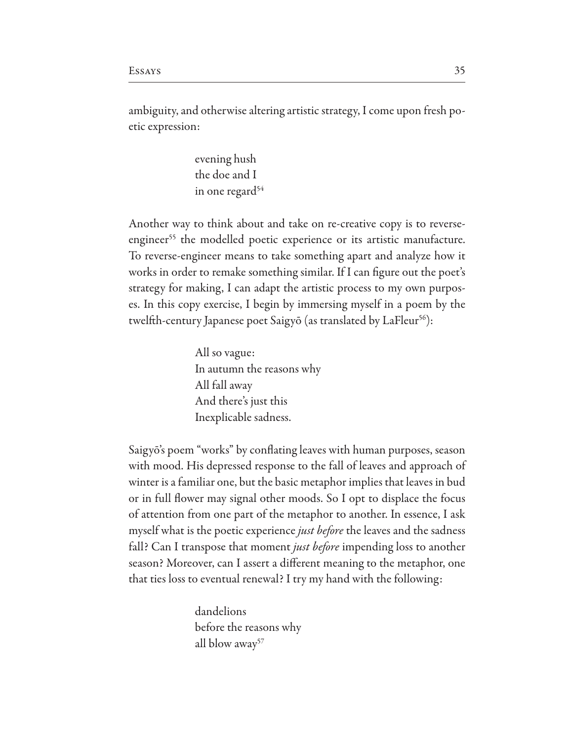ambiguity, and otherwise altering artistic strategy, I come upon fresh poetic expression:

> evening hush the doe and I in one regard<sup>54</sup>

Another way to think about and take on re-creative copy is to reverseengineer<sup>55</sup> the modelled poetic experience or its artistic manufacture. To reverse-engineer means to take something apart and analyze how it works in order to remake something similar. If I can figure out the poet's strategy for making, I can adapt the artistic process to my own purposes. In this copy exercise, I begin by immersing myself in a poem by the twelfth-century Japanese poet Saigyō (as translated by LaFleur<sup>56</sup>):

> All so vague: In autumn the reasons why All fall away And there's just this Inexplicable sadness.

Saigyō's poem "works" by conflating leaves with human purposes, season with mood. His depressed response to the fall of leaves and approach of winter is a familiar one, but the basic metaphor implies that leaves in bud or in full flower may signal other moods. So I opt to displace the focus of attention from one part of the metaphor to another. In essence, I ask myself what is the poetic experience *just before* the leaves and the sadness fall? Can I transpose that moment *just before* impending loss to another season? Moreover, can I assert a different meaning to the metaphor, one that ties loss to eventual renewal? I try my hand with the following:

> dandelions before the reasons why all blow  $a$ way<sup>57</sup>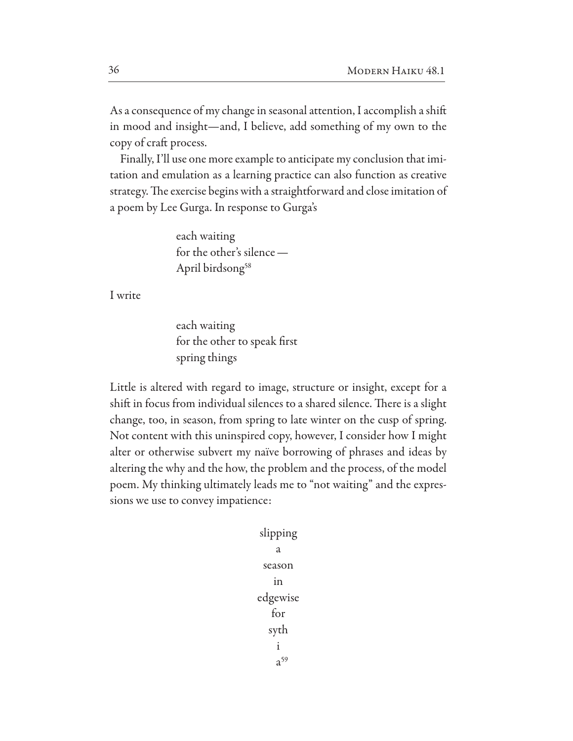As a consequence of my change in seasonal attention, I accomplish a shift in mood and insight—and, I believe, add something of my own to the copy of craft process.

Finally, I'll use one more example to anticipate my conclusion that imitation and emulation as a learning practice can also function as creative strategy. The exercise begins with a straightforward and close imitation of a poem by Lee Gurga. In response to Gurga's

> each waiting for the other's silence -April birdsong<sup>58</sup>

I write

each waiting for the other to speak first spring things

Little is altered with regard to image, structure or insight, except for a shift in focus from individual silences to a shared silence. There is a slight change, too, in season, from spring to late winter on the cusp of spring. Not content with this uninspired copy, however, I consider how I might alter or otherwise subvert my naïve borrowing of phrases and ideas by altering the why and the how, the problem and the process, of the model poem. My thinking ultimately leads me to "not waiting" and the expressions we use to convey impatience:

> slipping  $\overline{a}$ season in edgewise for syth  $\mathbf{i}$  $a^{59}$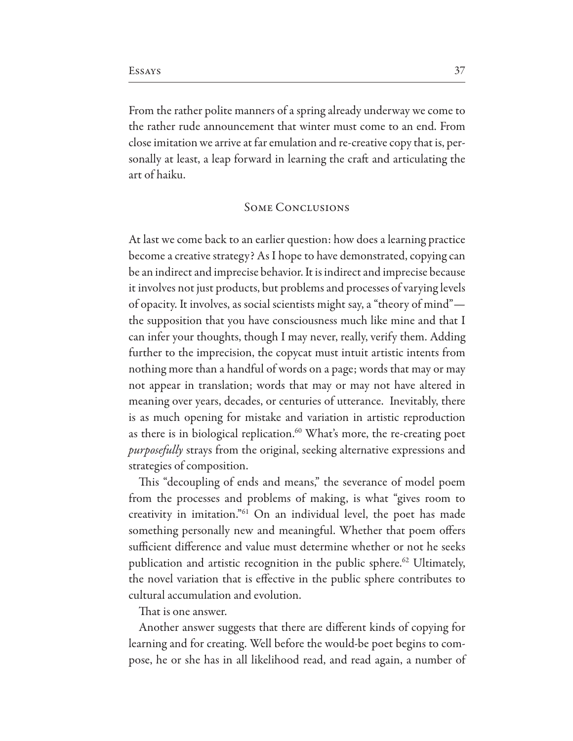From the rather polite manners of a spring already underway we come to the rather rude announcement that winter must come to an end. From close imitation we arrive at far emulation and re-creative copy that is, personally at least, a leap forward in learning the craft and articulating the art of haiku.

## **SOME CONCLUSIONS**

At last we come back to an earlier question: how does a learning practice become a creative strategy? As I hope to have demonstrated, copying can be an indirect and imprecise behavior. It is indirect and imprecise because it involves not just products, but problems and processes of varying levels of opacity. It involves, as social scientists might say, a "theory of mind" the supposition that you have consciousness much like mine and that I can infer your thoughts, though I may never, really, verify them. Adding further to the imprecision, the copycat must intuit artistic intents from nothing more than a handful of words on a page; words that may or may not appear in translation; words that may or may not have altered in meaning over years, decades, or centuries of utterance. Inevitably, there is as much opening for mistake and variation in artistic reproduction as there is in biological replication.<sup>60</sup> What's more, the re-creating poet *purposefully* strays from the original, seeking alternative expressions and strategies of composition.

This "decoupling of ends and means," the severance of model poem from the processes and problems of making, is what "gives room to creativity in imitation."<sup>61</sup> On an individual level, the poet has made something personally new and meaningful. Whether that poem offers sufficient difference and value must determine whether or not he seeks publication and artistic recognition in the public sphere.<sup>62</sup> Ultimately, the novel variation that is effective in the public sphere contributes to cultural accumulation and evolution.

That is one answer.

Another answer suggests that there are different kinds of copying for learning and for creating. Well before the would-be poet begins to compose, he or she has in all likelihood read, and read again, a number of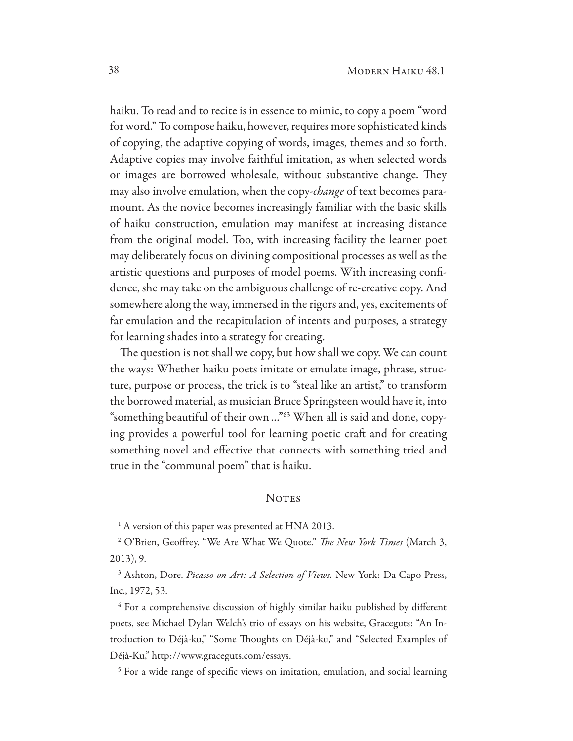haiku. To read and to recite is in essence to mimic, to copy a poem "word for word." To compose haiku, however, requires more sophisticated kinds of copying, the adaptive copying of words, images, themes and so forth. Adaptive copies may involve faithful imitation, as when selected words or images are borrowed wholesale, without substantive change. They may also involve emulation, when the copy-change of text becomes paramount. As the novice becomes increasingly familiar with the basic skills of haiku construction, emulation may manifest at increasing distance from the original model. Too, with increasing facility the learner poet may deliberately focus on divining compositional processes as well as the artistic questions and purposes of model poems. With increasing confidence, she may take on the ambiguous challenge of re-creative copy. And somewhere along the way, immersed in the rigors and, yes, excitements of far emulation and the recapitulation of intents and purposes, a strategy for learning shades into a strategy for creating.

The question is not shall we copy, but how shall we copy. We can count the ways: Whether haiku poets imitate or emulate image, phrase, structure, purpose or process, the trick is to "steal like an artist," to transform the borrowed material, as musician Bruce Springsteen would have it, into "something beautiful of their own..."<sup>63</sup> When all is said and done, copying provides a powerful tool for learning poetic craft and for creating something novel and effective that connects with something tried and true in the "communal poem" that is haiku.

#### **NOTES**

<sup>1</sup> A version of this paper was presented at HNA 2013.

<sup>2</sup> O'Brien, Geoffrey. "We Are What We Quote." The New York Times (March 3,  $2013$ , 9.

<sup>3</sup> Ashton, Dore. *Picasso on Art: A Selection of Views*. New York: Da Capo Press, Inc., 1972, 53.

<sup>4</sup> For a comprehensive discussion of highly similar haiku published by different poets, see Michael Dylan Welch's trio of essays on his website, Graceguts: "An Introduction to Déjà-ku," "Some Thoughts on Déjà-ku," and "Selected Examples of Déjà-Ku," http://www.graceguts.com/essays.

<sup>5</sup> For a wide range of specific views on imitation, emulation, and social learning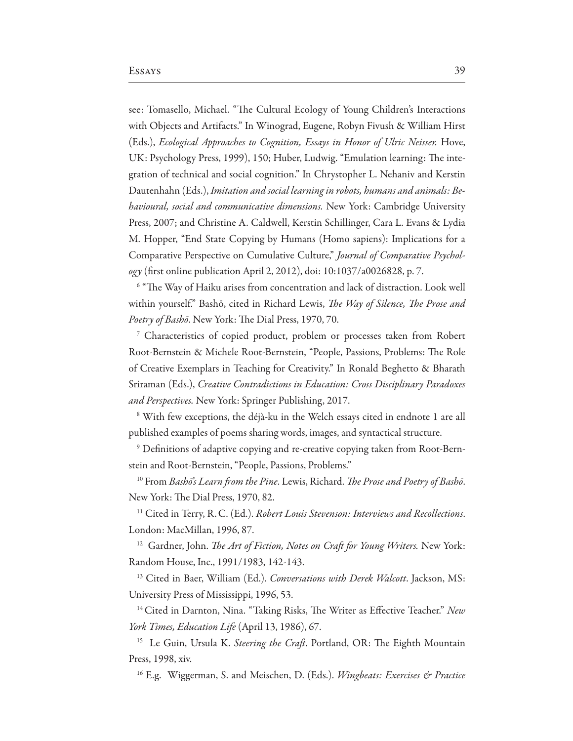see: Tomasello, Michael. "The Cultural Ecology of Young Children's Interactions with Objects and Artifacts." In Winograd, Eugene, Robyn Fivush & William Hirst (Eds.), Ecological Approaches to Cognition, Essays in Honor of Ulric Neisser. Hove, UK: Psychology Press, 1999), 150; Huber, Ludwig. "Emulation learning: The integration of technical and social cognition." In Chrystopher L. Nehaniv and Kerstin Dautenhahn (Eds.), Imitation and social learning in robots, humans and animals: Be*havioural, social and communicative dimensions.* New York: Cambridge University Press, 2007; and Christine A. Caldwell, Kerstin Schillinger, Cara L. Evans & Lydia M. Hopper, "End State Copying by Humans (Homo sapiens): Implications for a Comparative Perspective on Cumulative Culture," Journal of Comparative Psychology (first online publication April 2, 2012), doi: 10:1037/a0026828, p. 7.

<sup>6</sup> "The Way of Haiku arises from concentration and lack of distraction. Look well within yourself." Bashō, cited in Richard Lewis, The Way of Silence, The Prose and Poetry of Bashō. New York: The Dial Press, 1970, 70.

<sup>7</sup> Characteristics of copied product, problem or processes taken from Robert Root-Bernstein & Michele Root-Bernstein, "People, Passions, Problems: The Role of Creative Exemplars in Teaching for Creativity." In Ronald Beghetto & Bharath Sriraman (Eds.), Creative Contradictions in Education: Cross Disciplinary Paradoxes and Perspectives. New York: Springer Publishing, 2017.

<sup>8</sup> With few exceptions, the déjà-ku in the Welch essays cited in endnote 1 are all published examples of poems sharing words, images, and syntactical structure.

<sup>9</sup> Definitions of adaptive copying and re-creative copying taken from Root-Bernstein and Root-Bernstein, "People, Passions, Problems."

<sup>10</sup> From Basho's Learn from the Pine. Lewis, Richard. The Prose and Poetry of Basho. New York: The Dial Press, 1970, 82.

<sup>11</sup> Cited in Terry, R.C. (Ed.). Robert Louis Stevenson: Interviews and Recollections. London: MacMillan, 1996, 87.

<sup>12</sup> Gardner, John. *The Art of Fiction*, *Notes on Craft for Young Writers*. New York: Random House, Inc., 1991/1983, 142-143.

<sup>13</sup> Cited in Baer, William (Ed.). Conversations with Derek Walcott. Jackson, MS: University Press of Mississippi, 1996, 53.

<sup>14</sup> Cited in Darnton, Nina. "Taking Risks, The Writer as Effective Teacher." New York Times, Education Life (April 13, 1986), 67.

<sup>15</sup> Le Guin, Ursula K. Steering the Craft. Portland, OR: The Eighth Mountain Press, 1998, xiv.

<sup>16</sup> E.g. Wiggerman, S. and Meischen, D. (Eds.). Wingbeats: Exercises & Practice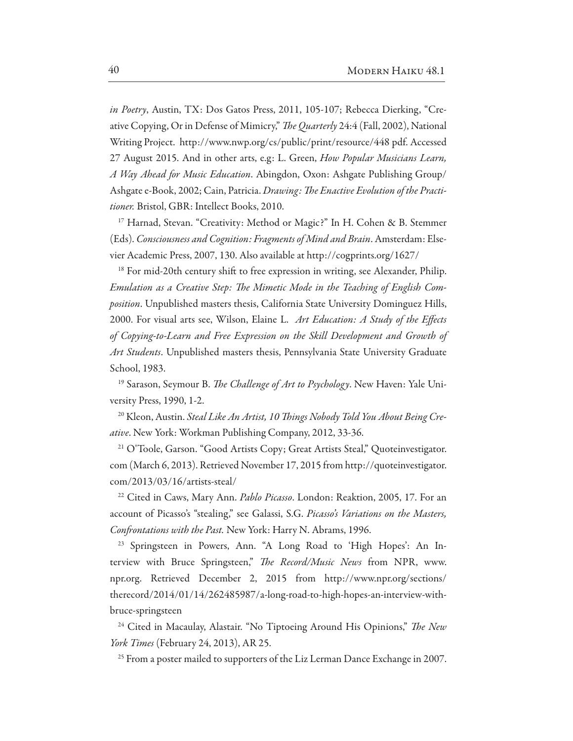in Poetry, Austin, TX: Dos Gatos Press, 2011, 105-107; Rebecca Dierking, "Creative Copying, Or in Defense of Mimicry," The Quarterly 24:4 (Fall, 2002), National Writing Project. http://www.nwp.org/cs/public/print/resource/448 pdf. Accessed 27 August 2015. And in other arts, e.g: L. Green, How Popular Musicians Learn, A Way Ahead for Music Education. Abingdon, Oxon: Ashgate Publishing Group/ Ashgate e-Book, 2002; Cain, Patricia. Drawing: The Enactive Evolution of the Practitioner. Bristol, GBR: Intellect Books, 2010.

<sup>17</sup> Harnad, Stevan. "Creativity: Method or Magic?" In H. Cohen & B. Stemmer (Eds). Consciousness and Cognition: Fragments of Mind and Brain. Amsterdam: Elsevier Academic Press, 2007, 130. Also available at http://cogprints.org/1627/

<sup>18</sup> For mid-20th century shift to free expression in writing, see Alexander, Philip. Emulation as a Creative Step: The Mimetic Mode in the Teaching of English Composition. Unpublished masters thesis, California State University Dominguez Hills, 2000. For visual arts see, Wilson, Elaine L. Art Education: A Study of the Effects of Copying-to-Learn and Free Expression on the Skill Development and Growth of Art Students. Unpublished masters thesis, Pennsylvania State University Graduate School, 1983.

<sup>19</sup> Sarason, Seymour B. The Challenge of Art to Psychology. New Haven: Yale University Press, 1990, 1-2.

<sup>20</sup> Kleon, Austin. Steal Like An Artist, 10 Things Nobody Told You About Being Creative. New York: Workman Publishing Company, 2012, 33-36.

<sup>21</sup> O'Toole, Garson. "Good Artists Copy; Great Artists Steal," Quoteinvestigator. com (March 6, 2013). Retrieved November 17, 2015 from http://quoteinvestigator.  $com/2013/03/16/artists-steal/$ 

<sup>22</sup> Cited in Caws, Mary Ann. *Pablo Picasso*. London: Reaktion, 2005, 17. For an account of Picasso's "stealing," see Galassi, S.G. Picasso's Variations on the Masters, Confrontations with the Past. New York: Harry N. Abrams, 1996.

<sup>23</sup> Springsteen in Powers, Ann. "A Long Road to 'High Hopes': An Interview with Bruce Springsteen," The Record/Music News from NPR, www. npr.org. Retrieved December 2, 2015 from http://www.npr.org/sections/ therecord/2014/01/14/262485987/a-long-road-to-high-hopes-an-interview-withbruce-springsteen

<sup>24</sup> Cited in Macaulay, Alastair. "No Tiptoeing Around His Opinions," The New York Times (February 24, 2013), AR 25.

<sup>25</sup> From a poster mailed to supporters of the Liz Lerman Dance Exchange in 2007.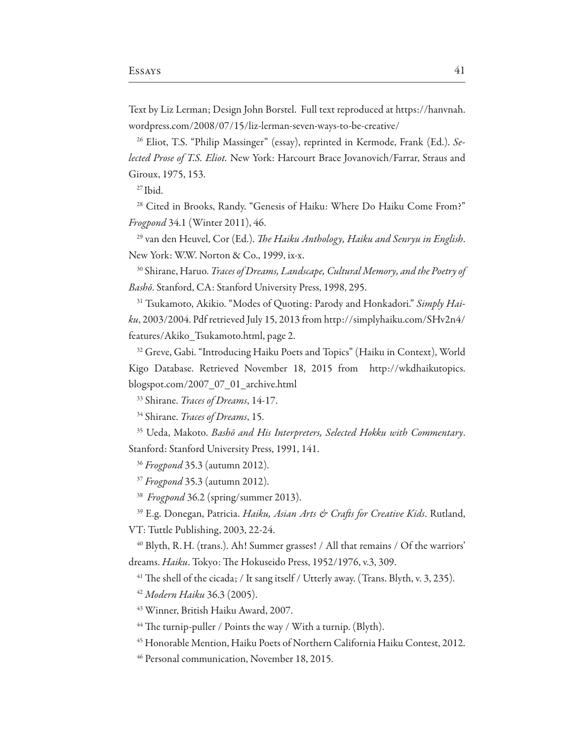Text by Liz Lerman; Design John Borstel. Full text reproduced at https://hanvnah. wordpress.com/2008/07/15/liz-lerman-seven-ways-to-be-creative/

<sup>26</sup> Eliot, T.S. "Philip Massinger" (essay), reprinted in Kermode, Frank (Ed.). Selected Prose of T.S. Eliot. New York: Harcourt Brace Jovanovich/Farrar, Straus and Giroux, 1975, 153.

 $27$  Ibid.

<sup>28</sup> Cited in Brooks, Randy. "Genesis of Haiku: Where Do Haiku Come From?" Frogpond 34.1 (Winter 2011), 46.

<sup>29</sup> van den Heuvel, Cor (Ed.). The Haiku Anthology, Haiku and Senryu in English. New York: W.W. Norton & Co., 1999, ix-x.

<sup>30</sup> Shirane, Haruo. *Traces of Dreams, Landscape, Cultural Memory, and the Poetry of* Bashō. Stanford, CA: Stanford University Press, 1998, 295.

<sup>31</sup> Tsukamoto, Akikio. "Modes of Quoting: Parody and Honkadori." Simply Haiku, 2003/2004. Pdf retrieved July 15, 2013 from http://simplyhaiku.com/SHv2n4/ features/Akiko Tsukamoto.html, page 2.

<sup>32</sup> Greve, Gabi. "Introducing Haiku Poets and Topics" (Haiku in Context), World Kigo Database. Retrieved November 18, 2015 from http://wkdhaikutopics. blogspot.com/2007 07 01 archive.html

<sup>33</sup> Shirane. Traces of Dreams, 14-17.

<sup>34</sup> Shirane. Traces of Dreams, 15.

<sup>35</sup> Ueda, Makoto. Bashō and His Interpreters, Selected Hokku with Commentary. Stanford: Stanford University Press, 1991, 141.

<sup>36</sup> Frogpond 35.3 (autumn 2012).

<sup>37</sup> Frogpond 35.3 (autumn 2012).

<sup>38</sup> Frogpond 36.2 (spring/summer 2013).

<sup>39</sup> E.g. Donegan, Patricia. Haiku, Asian Arts & Crafts for Creative Kids. Rutland, VT: Tuttle Publishing, 2003, 22-24.

<sup>40</sup> Blyth, R. H. (trans.). Ah! Summer grasses! / All that remains / Of the warriors' dreams. Haiku. Tokyo: The Hokuseido Press, 1952/1976, v.3, 309.

<sup>41</sup> The shell of the cicada; / It sang itself / Utterly away. (Trans. Blyth, v. 3, 235).

<sup>42</sup> Modern Haiku 36.3 (2005).

<sup>43</sup> Winner, British Haiku Award, 2007.

<sup>44</sup> The turnip-puller / Points the way / With a turnip. (Blyth).

<sup>45</sup> Honorable Mention, Haiku Poets of Northern California Haiku Contest, 2012.

<sup>46</sup> Personal communication, November 18, 2015.